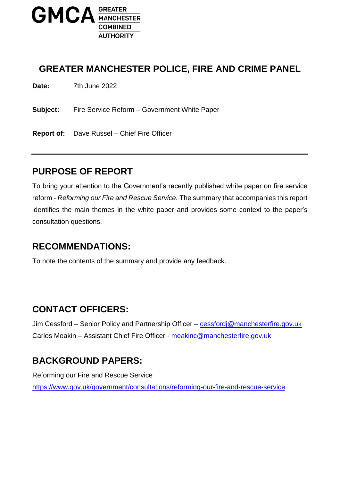

#### **GREATER MANCHESTER POLICE, FIRE AND CRIME PANEL**

**Date:** 7th June 2022

**Subject:** Fire Service Reform – Government White Paper

**Report of:** Dave Russel – Chief Fire Officer

#### **PURPOSE OF REPORT**

To bring your attention to the Government's recently published white paper on fire service reform - *Reforming our Fire and Rescue Service.* The summary that accompanies this report identifies the main themes in the white paper and provides some context to the paper's consultation questions.

#### **RECOMMENDATIONS:**

To note the contents of the summary and provide any feedback.

#### **CONTACT OFFICERS:**

Jim Cessford – Senior Policy and Partnership Officer – [cessfordj@manchesterfire.gov.uk](mailto:cessfordj@manchesterfire.gov.uk) Carlos Meakin – Assistant Chief Fire Officer - [meakinc@manchesterfire.gov.uk](mailto:meakinc@manchesterfire.gov.uk)

## **BACKGROUND PAPERS:**

Reforming our Fire and Rescue Service <https://www.gov.uk/government/consultations/reforming-our-fire-and-rescue-service>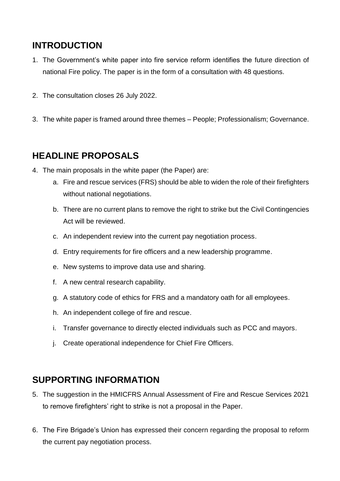# **INTRODUCTION**

- 1. The Government's white paper into fire service reform identifies the future direction of national Fire policy. The paper is in the form of a consultation with 48 questions.
- 2. The consultation closes 26 July 2022.
- 3. The white paper is framed around three themes People; Professionalism; Governance.

## **HEADLINE PROPOSALS**

- 4. The main proposals in the white paper (the Paper) are:
	- a. Fire and rescue services (FRS) should be able to widen the role of their firefighters without national negotiations.
	- b. There are no current plans to remove the right to strike but the Civil Contingencies Act will be reviewed.
	- c. An independent review into the current pay negotiation process.
	- d. Entry requirements for fire officers and a new leadership programme.
	- e. New systems to improve data use and sharing.
	- f. A new central research capability.
	- g. A statutory code of ethics for FRS and a mandatory oath for all employees.
	- h. An independent college of fire and rescue.
	- i. Transfer governance to directly elected individuals such as PCC and mayors.
	- j. Create operational independence for Chief Fire Officers.

## **SUPPORTING INFORMATION**

- 5. The suggestion in the HMICFRS Annual Assessment of Fire and Rescue Services 2021 to remove firefighters' right to strike is not a proposal in the Paper.
- 6. The Fire Brigade's Union has expressed their concern regarding the proposal to reform the current pay negotiation process.